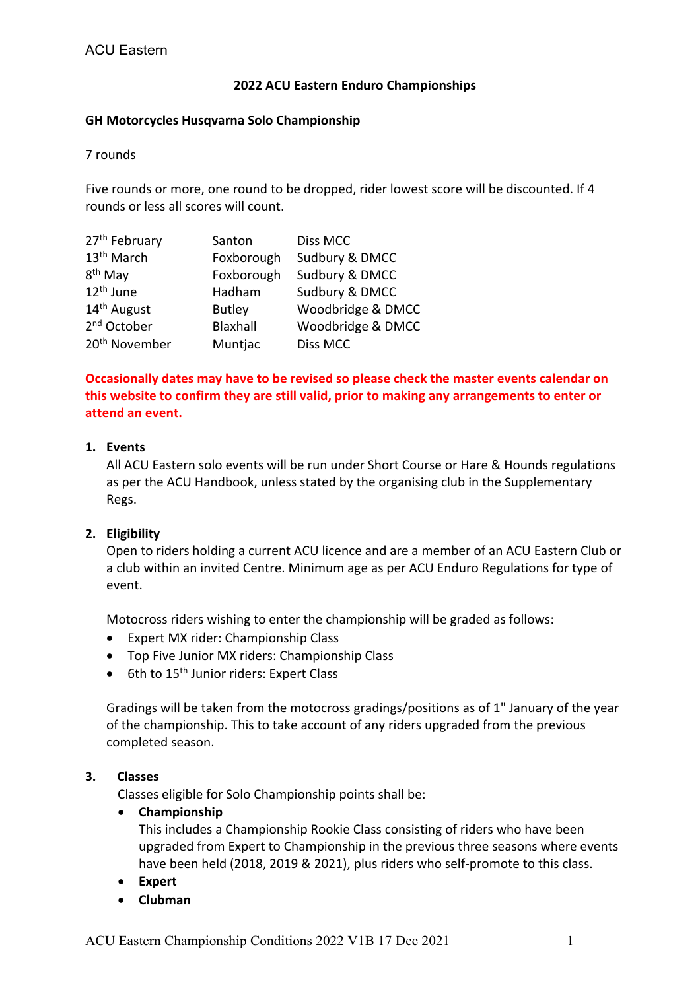## **2022 ACU Eastern Enduro Championships**

### **GH Motorcycles Husqvarna Solo Championship**

7 rounds

Five rounds or more, one round to be dropped, rider lowest score will be discounted. If 4 rounds or less all scores will count.

| 27 <sup>th</sup> February | Santon        | Diss MCC          |
|---------------------------|---------------|-------------------|
| 13 <sup>th</sup> March    | Foxborough    | Sudbury & DMCC    |
| 8 <sup>th</sup> May       | Foxborough    | Sudbury & DMCC    |
| 12 <sup>th</sup> June     | Hadham        | Sudbury & DMCC    |
| 14 <sup>th</sup> August   | <b>Butley</b> | Woodbridge & DMCC |
| 2 <sup>nd</sup> October   | Blaxhall      | Woodbridge & DMCC |
| 20 <sup>th</sup> November | Muntjac       | Diss MCC          |

**Occasionally dates may have to be revised so please check the master events calendar on this website to confirm they are still valid, prior to making any arrangements to enter or attend an event.**

## **1. Events**

All ACU Eastern solo events will be run under Short Course or Hare & Hounds regulations as per the ACU Handbook, unless stated by the organising club in the Supplementary Regs.

# **2. Eligibility**

Open to riders holding a current ACU licence and are a member of an ACU Eastern Club or a club within an invited Centre. Minimum age as per ACU Enduro Regulations for type of event.

Motocross riders wishing to enter the championship will be graded as follows:

- Expert MX rider: Championship Class
- Top Five Junior MX riders: Championship Class
- 6th to 15<sup>th</sup> Junior riders: Expert Class

Gradings will be taken from the motocross gradings/positions as of 1" January of the year of the championship. This to take account of any riders upgraded from the previous completed season.

### **3. Classes**

Classes eligible for Solo Championship points shall be:

### • **Championship**

This includes a Championship Rookie Class consisting of riders who have been upgraded from Expert to Championship in the previous three seasons where events have been held (2018, 2019 & 2021), plus riders who self-promote to this class.

- **Expert**
- **Clubman**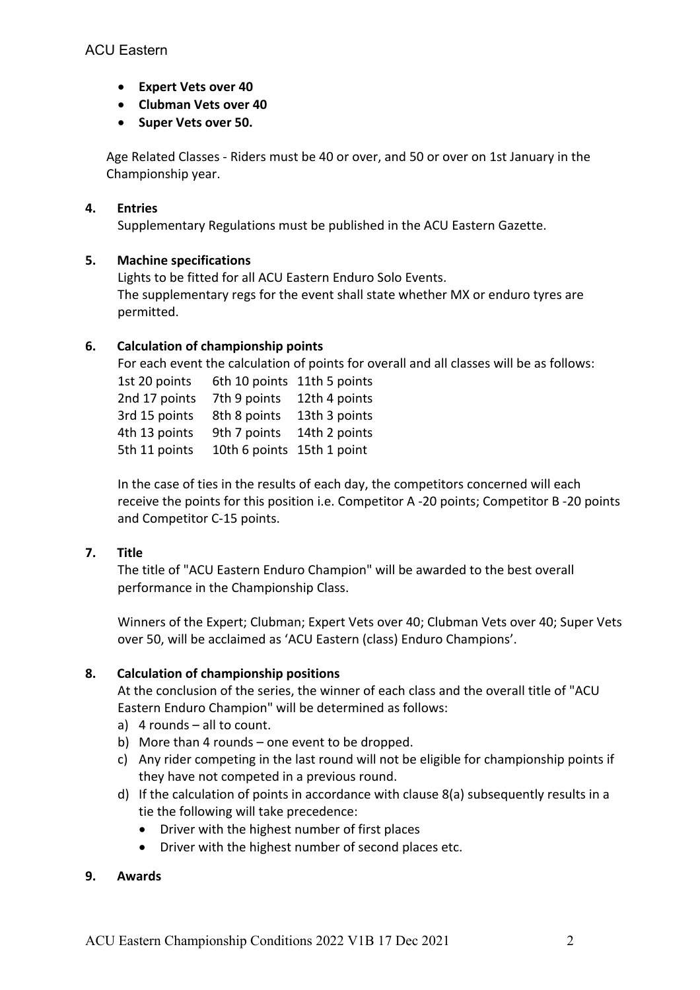- **Expert Vets over 40**
- **Clubman Vets over 40**
- **Super Vets over 50.**

Age Related Classes - Riders must be 40 or over, and 50 or over on 1st January in the Championship year.

# **4. Entries**

Supplementary Regulations must be published in the ACU Eastern Gazette.

## **5. Machine specifications**

Lights to be fitted for all ACU Eastern Enduro Solo Events. The supplementary regs for the event shall state whether MX or enduro tyres are permitted.

# **6. Calculation of championship points**

For each event the calculation of points for overall and all classes will be as follows:

1st 20 points 6th 10 points 11th 5 points 2nd 17 points 7th 9 points 12th 4 points 3rd 15 points 8th 8 points 13th 3 points 4th 13 points 9th 7 points 14th 2 points 5th 11 points 10th 6 points 15th 1 point

In the case of ties in the results of each day, the competitors concerned will each receive the points for this position i.e. Competitor A -20 points; Competitor B -20 points and Competitor C-15 points.

# **7. Title**

The title of "ACU Eastern Enduro Champion" will be awarded to the best overall performance in the Championship Class.

Winners of the Expert; Clubman; Expert Vets over 40; Clubman Vets over 40; Super Vets over 50, will be acclaimed as 'ACU Eastern (class) Enduro Champions'.

# **8. Calculation of championship positions**

At the conclusion of the series, the winner of each class and the overall title of "ACU Eastern Enduro Champion" will be determined as follows:

- a) 4 rounds all to count.
- b) More than 4 rounds one event to be dropped.
- c) Any rider competing in the last round will not be eligible for championship points if they have not competed in a previous round.
- d) If the calculation of points in accordance with clause 8(a) subsequently results in a tie the following will take precedence:
	- Driver with the highest number of first places
	- Driver with the highest number of second places etc.

# **9. Awards**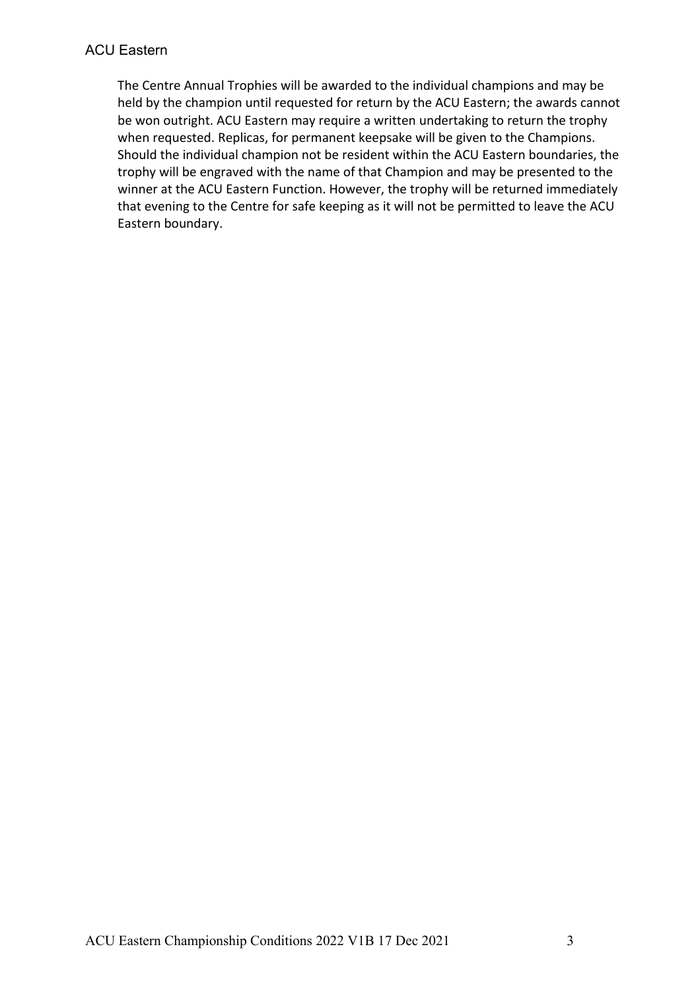# ACU Eastern

The Centre Annual Trophies will be awarded to the individual champions and may be held by the champion until requested for return by the ACU Eastern; the awards cannot be won outright. ACU Eastern may require a written undertaking to return the trophy when requested. Replicas, for permanent keepsake will be given to the Champions. Should the individual champion not be resident within the ACU Eastern boundaries, the trophy will be engraved with the name of that Champion and may be presented to the winner at the ACU Eastern Function. However, the trophy will be returned immediately that evening to the Centre for safe keeping as it will not be permitted to leave the ACU Eastern boundary.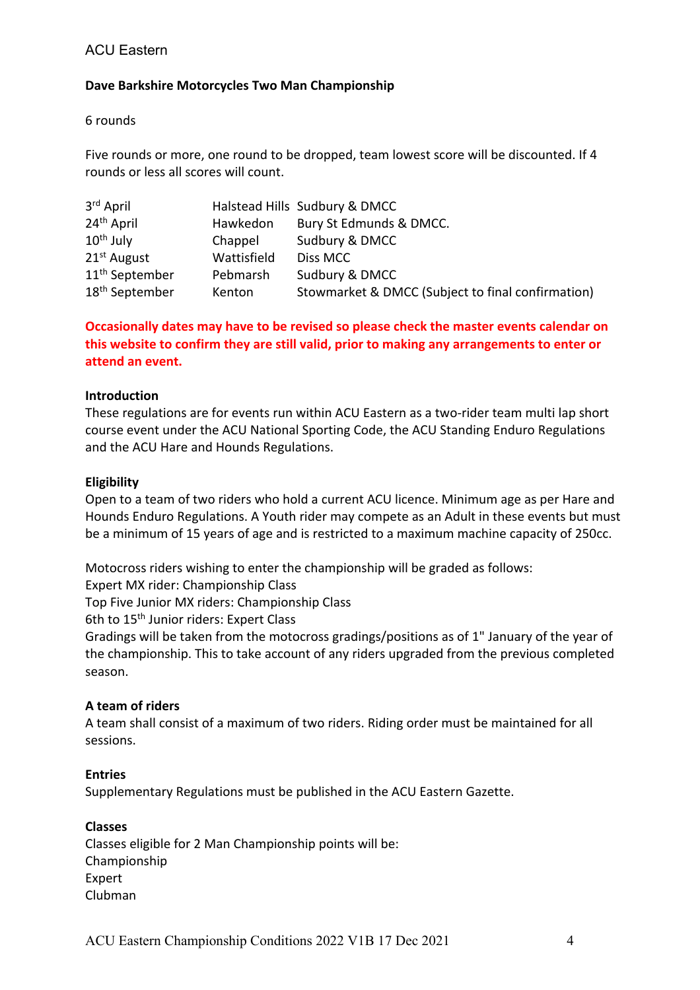# ACU Eastern

### **Dave Barkshire Motorcycles Two Man Championship**

6 rounds

Five rounds or more, one round to be dropped, team lowest score will be discounted. If 4 rounds or less all scores will count.

| 3rd April                  |             | Halstead Hills Sudbury & DMCC                     |
|----------------------------|-------------|---------------------------------------------------|
| 24 <sup>th</sup> April     | Hawkedon    | Bury St Edmunds & DMCC.                           |
| $10th$ July                | Chappel     | Sudbury & DMCC                                    |
| 21 <sup>st</sup> August    | Wattisfield | Diss MCC                                          |
| 11 <sup>th</sup> September | Pebmarsh    | Sudbury & DMCC                                    |
| 18 <sup>th</sup> September | Kenton      | Stowmarket & DMCC (Subject to final confirmation) |

# **Occasionally dates may have to be revised so please check the master events calendar on this website to confirm they are still valid, prior to making any arrangements to enter or attend an event.**

### **Introduction**

These regulations are for events run within ACU Eastern as a two-rider team multi lap short course event under the ACU National Sporting Code, the ACU Standing Enduro Regulations and the ACU Hare and Hounds Regulations.

### **Eligibility**

Open to a team of two riders who hold a current ACU licence. Minimum age as per Hare and Hounds Enduro Regulations. A Youth rider may compete as an Adult in these events but must be a minimum of 15 years of age and is restricted to a maximum machine capacity of 250cc.

Motocross riders wishing to enter the championship will be graded as follows:

Expert MX rider: Championship Class

Top Five Junior MX riders: Championship Class

6th to 15<sup>th</sup> Junior riders: Expert Class

Gradings will be taken from the motocross gradings/positions as of 1" January of the year of the championship. This to take account of any riders upgraded from the previous completed season.

### **A team of riders**

A team shall consist of a maximum of two riders. Riding order must be maintained for all sessions.

### **Entries**

Supplementary Regulations must be published in the ACU Eastern Gazette.

### **Classes**

Classes eligible for 2 Man Championship points will be: Championship Expert Clubman